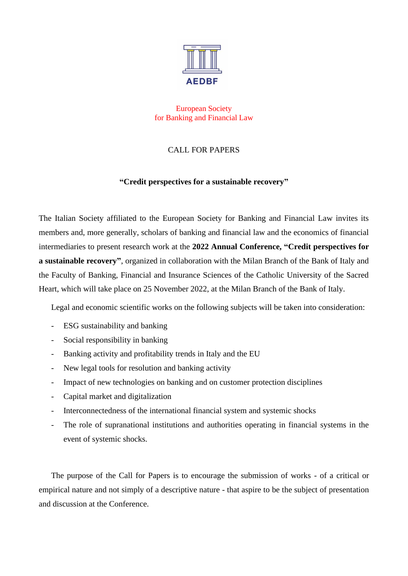

European Society for Banking and Financial Law

## CALL FOR PAPERS

## **"Credit perspectives for a sustainable recovery"**

The Italian Society affiliated to the European Society for Banking and Financial Law invites its members and, more generally, scholars of banking and financial law and the economics of financial intermediaries to present research work at the **2022 Annual Conference, "Credit perspectives for a sustainable recovery"**, organized in collaboration with the Milan Branch of the Bank of Italy and the Faculty of Banking, Financial and Insurance Sciences of the Catholic University of the Sacred Heart, which will take place on 25 November 2022, at the Milan Branch of the Bank of Italy.

Legal and economic scientific works on the following subjects will be taken into consideration:

- ESG sustainability and banking
- Social responsibility in banking
- Banking activity and profitability trends in Italy and the EU
- New legal tools for resolution and banking activity
- Impact of new technologies on banking and on customer protection disciplines
- Capital market and digitalization
- Interconnectedness of the international financial system and systemic shocks
- The role of supranational institutions and authorities operating in financial systems in the event of systemic shocks.

The purpose of the Call for Papers is to encourage the submission of works - of a critical or empirical nature and not simply of a descriptive nature - that aspire to be the subject of presentation and discussion at the Conference.